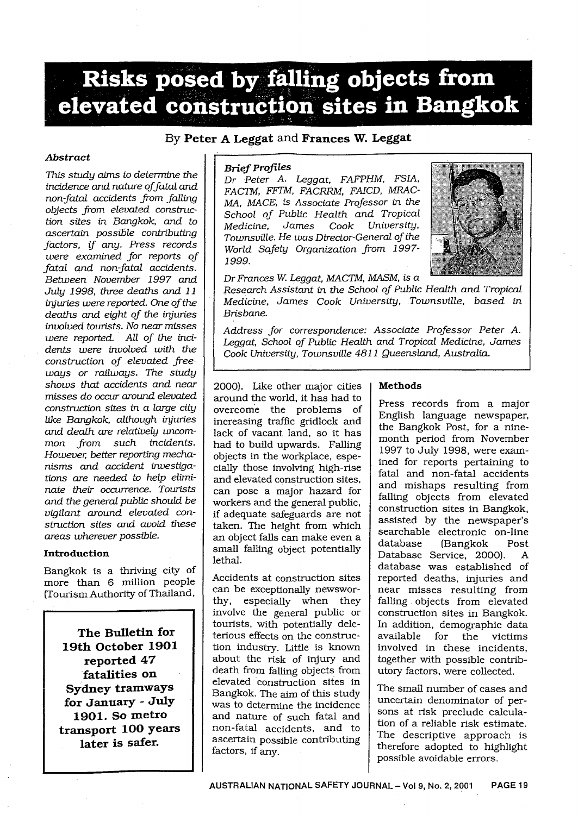# **Risks posed by falling objects from** elevated construction sites in Bangkok

# By **Peter A Leggat and Frances W. Leggat**

#### *Abstract*

*This study* aims *to determine the incidence and nature of fatal and non:fatal accidents from falling objects from elevated construction sites* in *Bangkok, and to ascertain possible contributing factors, if any. Press records were examined for reports of fatal and non:fatal accidents. Between November* 1997 and *July* 1998, *three deaths* and 11 *iryuries were reported. One of the deaths and eight of the iryuries involved tourists.* No *near misses were reported. All of the incidents were involved with the construction of elevated freeways or railways. The study shows that accidents* and *near misses* do *occur around elevated construction sites in* a *large city like Bangkok, although iryuries*  and *death are relatively uncommon from such incidents. However; better reporting mechanisms and accident investigations are needed to help eliminate their occurrence. Tourists and the general public should be Vigilant around elevated construction sites* and *avoid these areas wherever possible.* 

#### **Introduction**

Bangkok is a thriving city of more than 6 million people (Tourism Authority of Thailand.

**The Bulletin for 19th October 1901 reported 47 fatalities on Sydney tramways for January - July 1901. So metro transport 100 years later is safer.** 

#### *Brief Profiles*

. .

*Dr Peter* A. *Leggat. FAFPHM, FSIA, FACTM. FFTM, FACRRM, FAICD, MRAC-*MA, *MACE, is Associate Professor* in *the School of Public Health and Tropical Medicine, James Cook University, Townsville. He was Director-General of the World Safety Organization from 1997-* 1999.



Dr *Frances* W. *Leggat, MACTM, MASM, is* a

*Research Assistant* in *the School of Public Health and Tropical Medicine, James Cook University, Townsville, based in Brisbane.* 

*Address for correspondence: Associate Professor Peter A.*  Leggat, School of Public Health and Tropical Medicine, James *Cook University, Townsville* 4811 *Queensland, Australta.* 

2000). Like other major cities around the world, it has had to overcome the problems of increasing traffic gridlock and lack of vacant land, so it has had to build upwards. Falling objects in the workplace, especially those involving high-rise and elevated construction sites, can pose a major hazard for workers and the general public. if adequate safeguards are not taken. The height from which an object falls can make even a small falling object potentially lethal.

Accidents at construction sites can be exceptionally newsworthy, especially when they involve the general public or tourists. With potentially deleterious effects on the construction industry. Little is known about the risk of injury and death from falling objects from elevated 'construction sites in Bangkok. The aim of this study was to determine the incidence and nature of such fatal and non-fatal accidents, and to ascertain possible contributing factors, if any.

#### **Methods**

Press records from a major English language newspaper. the Bangkok Post, for a ninemonth period from November 1997 to July 1998, were examined for reports pertaining to fatal and non-fatal accidents and mishaps resulting from falling objects from elevated construction sites in Bangkok, assisted by the newspaper's searchable electronic on-line database (Bangkok Post Database Service, 2000). A database was established of reported deaths, injuries and near misses resulting from falling. objects from elevated construction sites in Bangkok. In addition, demographic data available for the victims involved in these incidents, together With possible contributory factors, were collected.

The small number of cases and uncertain denominator of persons at risk preclude calculation of a reliable risk estimate. The descriptive approach is therefore adopted to highlight possible avoidable errors.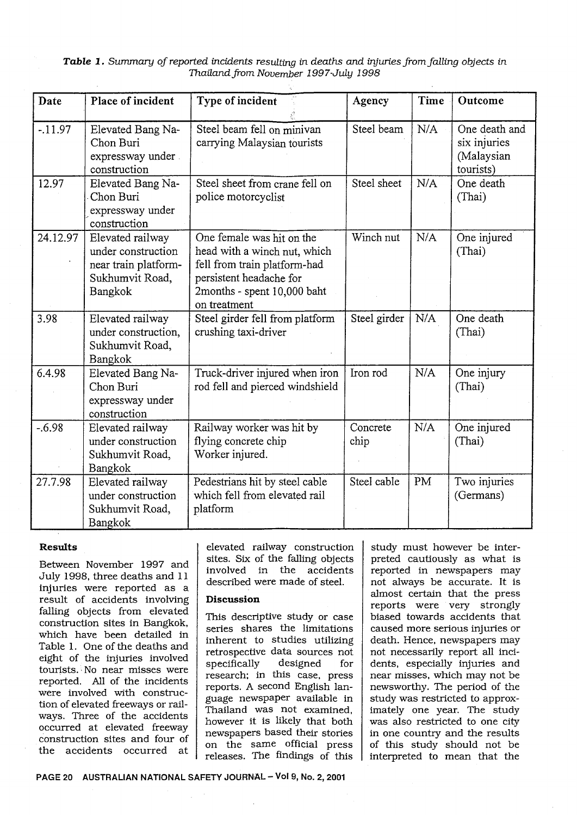*Table* 1. *Summary of reported* incidents *resulting* in *deaths and injuries from falling objects in Thailandfrom November 1997-July 1998* 

| Date      | Place of incident                                                                            | Type of incident                                                                                                                                                    | Agency           | <b>Time</b> | Outcome                                                  |
|-----------|----------------------------------------------------------------------------------------------|---------------------------------------------------------------------------------------------------------------------------------------------------------------------|------------------|-------------|----------------------------------------------------------|
| $-.11.97$ | Elevated Bang Na-<br>Chon Buri<br>expressway under<br>construction                           | Steel beam fell on minivan<br>carrying Malaysian tourists                                                                                                           | Steel beam       | N/A         | One death and<br>six injuries<br>(Malaysian<br>tourists) |
| 12.97     | Elevated Bang Na-<br>Chon Buri<br>expressway under<br>construction                           | Steel sheet from crane fell on<br>police motorcyclist                                                                                                               | Steel sheet      | N/A         | One death<br>(Thai)                                      |
| 24.12.97  | Elevated railway<br>under construction<br>near train platform-<br>Sukhumvit Road,<br>Bangkok | One female was hit on the<br>head with a winch nut, which<br>fell from train platform-had<br>persistent headache for<br>2months - spent 10,000 baht<br>on treatment | Winch nut        | N/A         | One injured<br>(Thai)                                    |
| 3.98      | Elevated railway<br>under construction,<br>Sukhumvit Road,<br>Bangkok                        | Steel girder fell from platform<br>crushing taxi-driver                                                                                                             | Steel girder     | N/A         | One death<br>(Thai)                                      |
| 6.4.98    | Elevated Bang Na-<br>Chon Buri<br>expressway under<br>construction                           | Truck-driver injured when iron<br>rod fell and pierced windshield                                                                                                   | Iron rod         | N/A         | One injury<br>(Thai)                                     |
| $-.6.98$  | Elevated railway<br>under construction<br>Sukhumvit Road,<br>Bangkok                         | Railway worker was hit by<br>flying concrete chip<br>Worker injured.                                                                                                | Concrete<br>chip | N/A         | One injured<br>(Thai)                                    |
| 27.7.98   | Elevated railway<br>under construction<br>Sukhumvit Road,<br>Bangkok                         | Pedestrians hit by steel cable<br>which fell from elevated rail<br>platform                                                                                         | Steel cable      | PM          | Two injuries<br>(Germans)                                |

#### Results

Between November 1997 and July 1998, three deaths and 11 injuries were reported as a result of accidents involving falling objects from elevated construction sites in Bangkok, which have been detailed in Table 1. One of the deaths and eight of the injuries involved tourists. No near misses were reported. All of the incidents were involved with construction of elevated freeways or railways. Three of the accidents occurred at elevated freeway construction sites and four of the accidents occurred at elevated railway construction sites. Six of the falling objects involved in the accidents described were made of steel.

## Discussion

This descriptive study or case series shares the limitations inherent to studies utilizing retrospective data sources not specifically designed for research; in this case, press reports. A second English language newspaper available in Thailand was not examined, however it is likely that both newspapers based their stories on the same official press releases. The findings of this

study must however be interpreted cautiously as what is reported in newspapers may not always be accurate. It is almost certain that the press reports were very strongly biased towards accidents that caused more serious injuries or death. Hence, newspapers may not necessarily report all incidents, especially injuries and near misses, which may not be newsworthy. The period of the study was restricted to approximately one year. The study was also restricted to one city in one country and the results of this study should not be interpreted to mean that the

PAGE 20 AUSTRALIAN NATIONAL SAFETY JOURNAL - Vol 9, No. 2, 2001